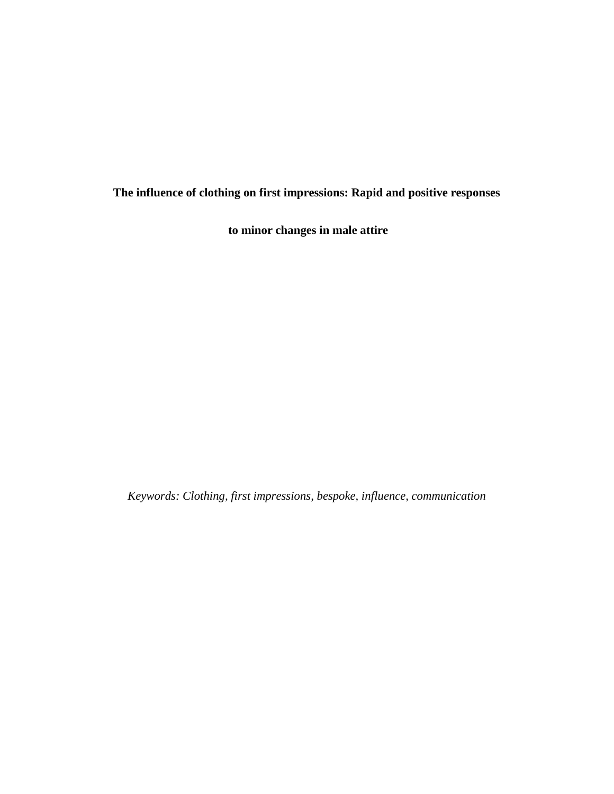**The influence of clothing on first impressions: Rapid and positive responses**

**to minor changes in male attire**

*Keywords: Clothing, first impressions, bespoke, influence, communication*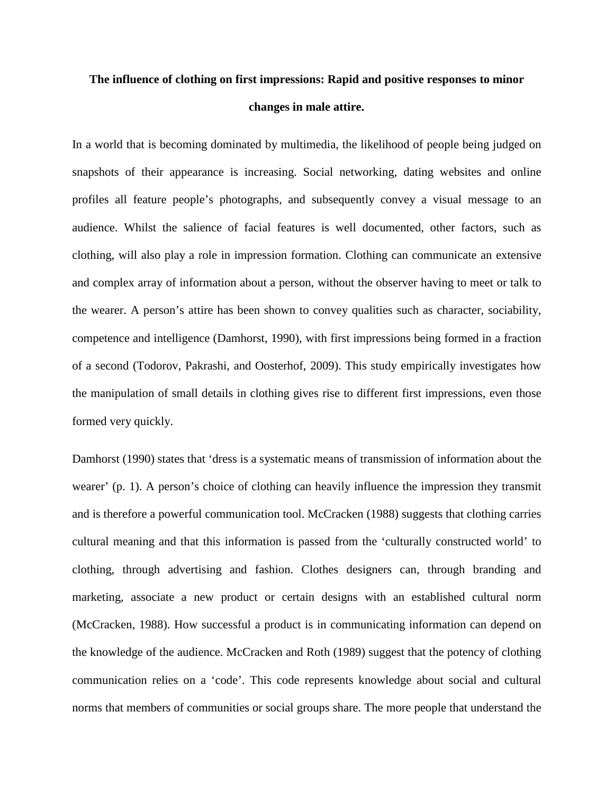# **The influence of clothing on first impressions: Rapid and positive responses to minor changes in male attire.**

In a world that is becoming dominated by multimedia, the likelihood of people being judged on snapshots of their appearance is increasing. Social networking, dating websites and online profiles all feature people's photographs, and subsequently convey a visual message to an audience. Whilst the salience of facial features is well documented, other factors, such as clothing, will also play a role in impression formation. Clothing can communicate an extensive and complex array of information about a person, without the observer having to meet or talk to the wearer. A person's attire has been shown to convey qualities such as character, sociability, competence and intelligence (Damhorst, 1990), with first impressions being formed in a fraction of a second (Todorov, Pakrashi, and Oosterhof, 2009). This study empirically investigates how the manipulation of small details in clothing gives rise to different first impressions, even those formed very quickly.

Damhorst (1990) states that 'dress is a systematic means of transmission of information about the wearer' (p. 1). A person's choice of clothing can heavily influence the impression they transmit and is therefore a powerful communication tool. McCracken (1988) suggests that clothing carries cultural meaning and that this information is passed from the 'culturally constructed world' to clothing, through advertising and fashion. Clothes designers can, through branding and marketing, associate a new product or certain designs with an established cultural norm (McCracken, 1988). How successful a product is in communicating information can depend on the knowledge of the audience. McCracken and Roth (1989) suggest that the potency of clothing communication relies on a 'code'. This code represents knowledge about social and cultural norms that members of communities or social groups share. The more people that understand the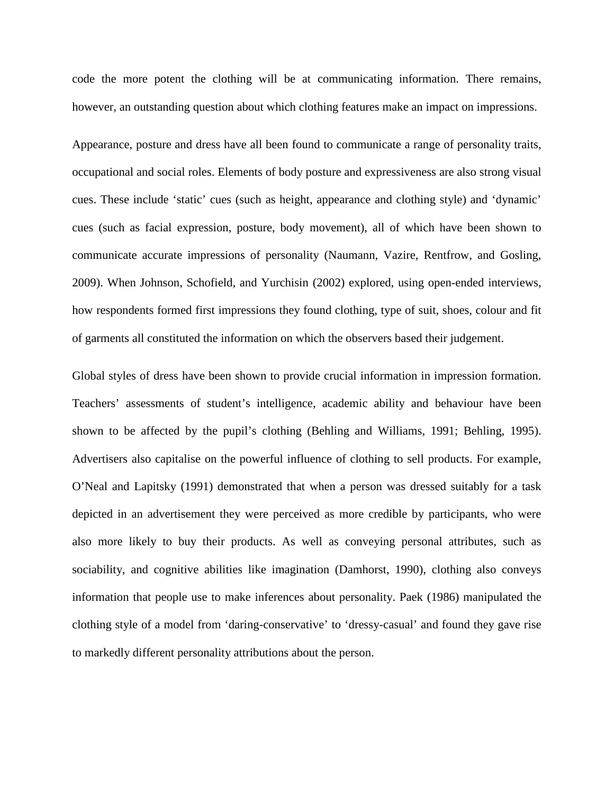code the more potent the clothing will be at communicating information. There remains, however, an outstanding question about which clothing features make an impact on impressions.

Appearance, posture and dress have all been found to communicate a range of personality traits, occupational and social roles. Elements of body posture and expressiveness are also strong visual cues. These include 'static' cues (such as height, appearance and clothing style) and 'dynamic' cues (such as facial expression, posture, body movement), all of which have been shown to communicate accurate impressions of personality (Naumann, Vazire, Rentfrow, and Gosling, 2009). When Johnson, Schofield, and Yurchisin (2002) explored, using open-ended interviews, how respondents formed first impressions they found clothing, type of suit, shoes, colour and fit of garments all constituted the information on which the observers based their judgement.

Global styles of dress have been shown to provide crucial information in impression formation. Teachers' assessments of student's intelligence, academic ability and behaviour have been shown to be affected by the pupil's clothing (Behling and Williams, 1991; Behling, 1995). Advertisers also capitalise on the powerful influence of clothing to sell products. For example, O'Neal and Lapitsky (1991) demonstrated that when a person was dressed suitably for a task depicted in an advertisement they were perceived as more credible by participants, who were also more likely to buy their products. As well as conveying personal attributes, such as sociability, and cognitive abilities like imagination (Damhorst, 1990), clothing also conveys information that people use to make inferences about personality. Paek (1986) manipulated the clothing style of a model from 'daring-conservative' to 'dressy-casual' and found they gave rise to markedly different personality attributions about the person.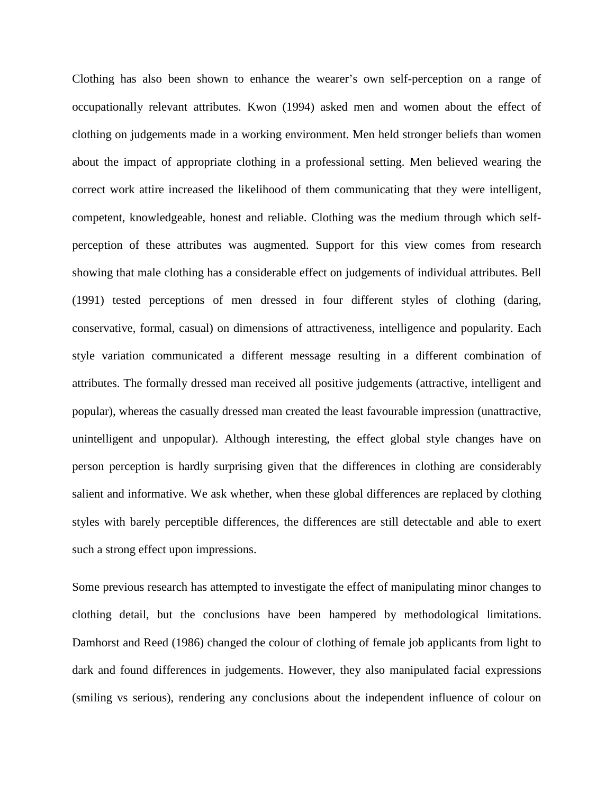Clothing has also been shown to enhance the wearer's own self-perception on a range of occupationally relevant attributes. Kwon (1994) asked men and women about the effect of clothing on judgements made in a working environment. Men held stronger beliefs than women about the impact of appropriate clothing in a professional setting. Men believed wearing the correct work attire increased the likelihood of them communicating that they were intelligent, competent, knowledgeable, honest and reliable. Clothing was the medium through which selfperception of these attributes was augmented. Support for this view comes from research showing that male clothing has a considerable effect on judgements of individual attributes. Bell (1991) tested perceptions of men dressed in four different styles of clothing (daring, conservative, formal, casual) on dimensions of attractiveness, intelligence and popularity. Each style variation communicated a different message resulting in a different combination of attributes. The formally dressed man received all positive judgements (attractive, intelligent and popular), whereas the casually dressed man created the least favourable impression (unattractive, unintelligent and unpopular). Although interesting, the effect global style changes have on person perception is hardly surprising given that the differences in clothing are considerably salient and informative. We ask whether, when these global differences are replaced by clothing styles with barely perceptible differences, the differences are still detectable and able to exert such a strong effect upon impressions.

Some previous research has attempted to investigate the effect of manipulating minor changes to clothing detail, but the conclusions have been hampered by methodological limitations. Damhorst and Reed (1986) changed the colour of clothing of female job applicants from light to dark and found differences in judgements. However, they also manipulated facial expressions (smiling vs serious), rendering any conclusions about the independent influence of colour on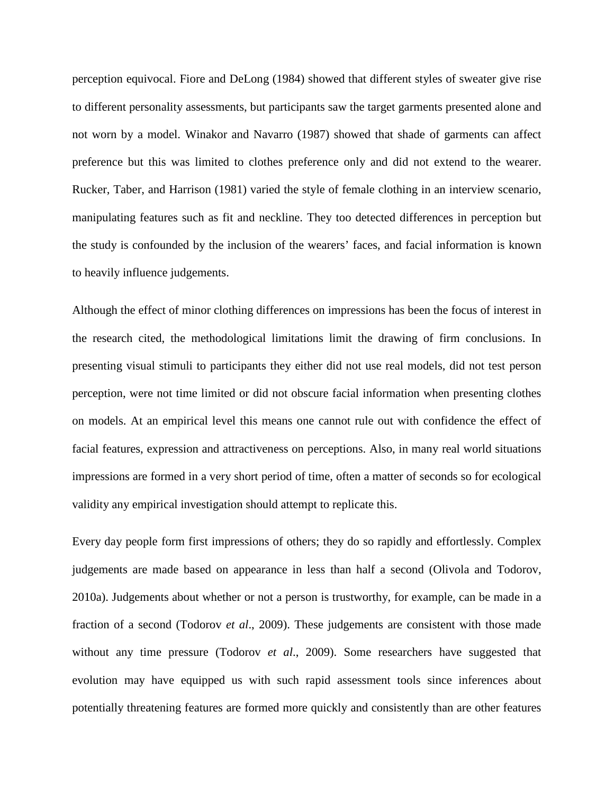perception equivocal. Fiore and DeLong (1984) showed that different styles of sweater give rise to different personality assessments, but participants saw the target garments presented alone and not worn by a model. Winakor and Navarro (1987) showed that shade of garments can affect preference but this was limited to clothes preference only and did not extend to the wearer. Rucker, Taber, and Harrison (1981) varied the style of female clothing in an interview scenario, manipulating features such as fit and neckline. They too detected differences in perception but the study is confounded by the inclusion of the wearers' faces, and facial information is known to heavily influence judgements.

Although the effect of minor clothing differences on impressions has been the focus of interest in the research cited, the methodological limitations limit the drawing of firm conclusions. In presenting visual stimuli to participants they either did not use real models, did not test person perception, were not time limited or did not obscure facial information when presenting clothes on models. At an empirical level this means one cannot rule out with confidence the effect of facial features, expression and attractiveness on perceptions. Also, in many real world situations impressions are formed in a very short period of time, often a matter of seconds so for ecological validity any empirical investigation should attempt to replicate this.

Every day people form first impressions of others; they do so rapidly and effortlessly. Complex judgements are made based on appearance in less than half a second (Olivola and Todorov, 2010a). Judgements about whether or not a person is trustworthy, for example, can be made in a fraction of a second (Todorov *et al*., 2009). These judgements are consistent with those made without any time pressure (Todorov *et al*., 2009). Some researchers have suggested that evolution may have equipped us with such rapid assessment tools since inferences about potentially threatening features are formed more quickly and consistently than are other features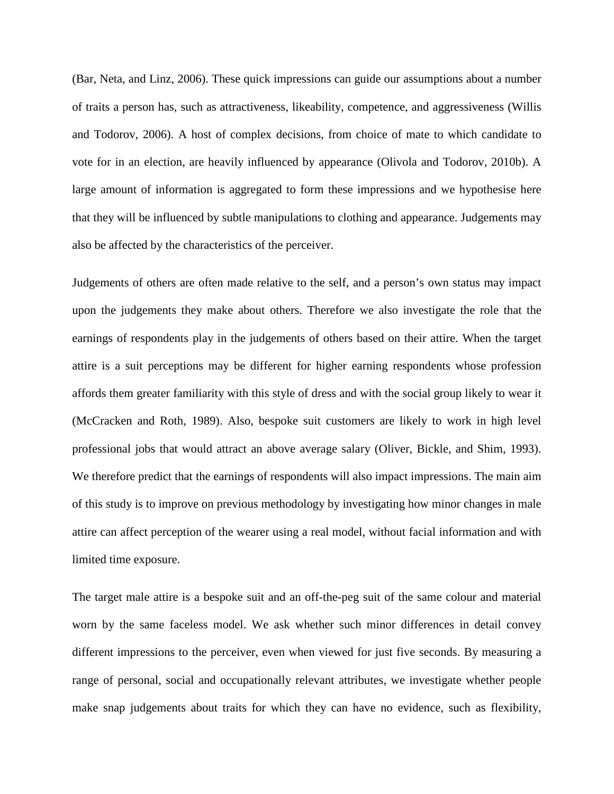(Bar, Neta, and Linz, 2006). These quick impressions can guide our assumptions about a number of traits a person has, such as attractiveness, likeability, competence, and aggressiveness (Willis and Todorov, 2006). A host of complex decisions, from choice of mate to which candidate to vote for in an election, are heavily influenced by appearance (Olivola and Todorov, 2010b). A large amount of information is aggregated to form these impressions and we hypothesise here that they will be influenced by subtle manipulations to clothing and appearance. Judgements may also be affected by the characteristics of the perceiver.

Judgements of others are often made relative to the self, and a person's own status may impact upon the judgements they make about others. Therefore we also investigate the role that the earnings of respondents play in the judgements of others based on their attire. When the target attire is a suit perceptions may be different for higher earning respondents whose profession affords them greater familiarity with this style of dress and with the social group likely to wear it (McCracken and Roth, 1989). Also, bespoke suit customers are likely to work in high level professional jobs that would attract an above average salary (Oliver, Bickle, and Shim, 1993). We therefore predict that the earnings of respondents will also impact impressions. The main aim of this study is to improve on previous methodology by investigating how minor changes in male attire can affect perception of the wearer using a real model, without facial information and with limited time exposure.

The target male attire is a bespoke suit and an off-the-peg suit of the same colour and material worn by the same faceless model. We ask whether such minor differences in detail convey different impressions to the perceiver, even when viewed for just five seconds. By measuring a range of personal, social and occupationally relevant attributes, we investigate whether people make snap judgements about traits for which they can have no evidence, such as flexibility,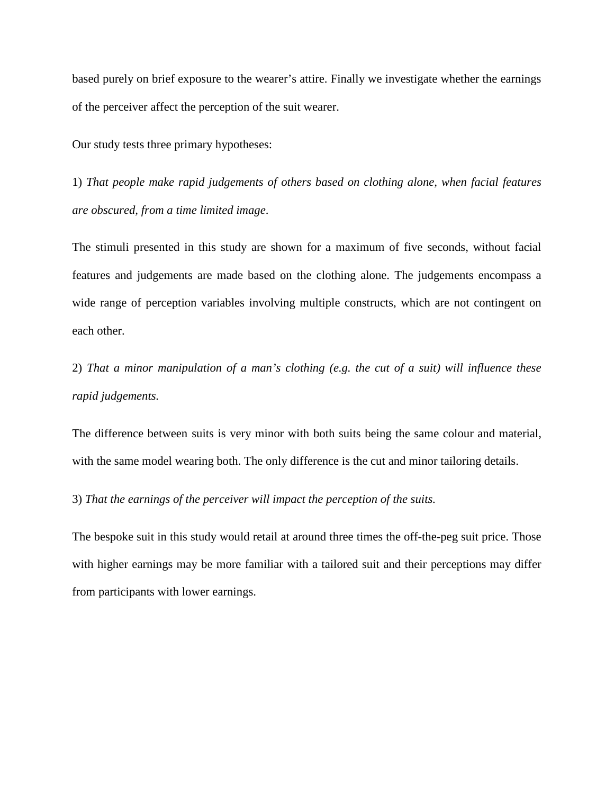based purely on brief exposure to the wearer's attire. Finally we investigate whether the earnings of the perceiver affect the perception of the suit wearer.

Our study tests three primary hypotheses:

1) *That people make rapid judgements of others based on clothing alone, when facial features are obscured, from a time limited image*.

The stimuli presented in this study are shown for a maximum of five seconds, without facial features and judgements are made based on the clothing alone. The judgements encompass a wide range of perception variables involving multiple constructs, which are not contingent on each other.

2) *That a minor manipulation of a man's clothing (e.g. the cut of a suit) will influence these rapid judgements.*

The difference between suits is very minor with both suits being the same colour and material, with the same model wearing both. The only difference is the cut and minor tailoring details.

3) *That the earnings of the perceiver will impact the perception of the suits.*

The bespoke suit in this study would retail at around three times the off-the-peg suit price. Those with higher earnings may be more familiar with a tailored suit and their perceptions may differ from participants with lower earnings.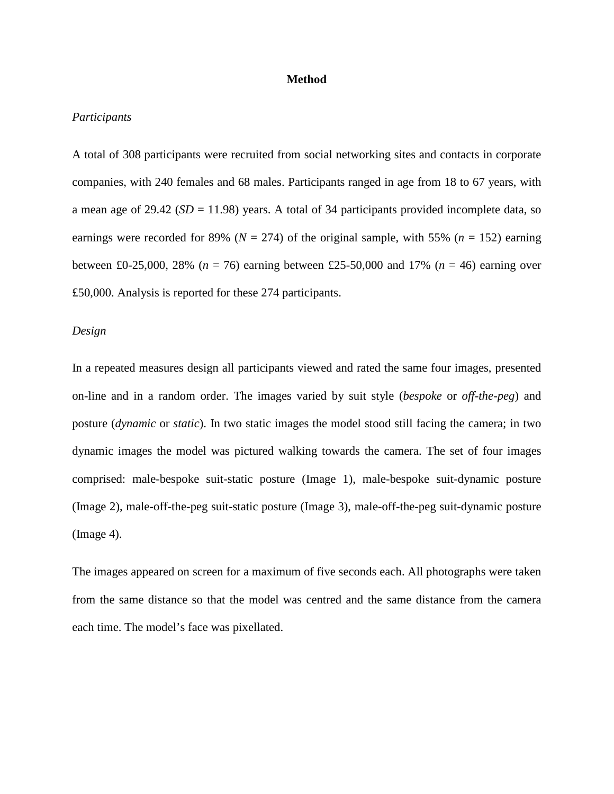## **Method**

# *Participants*

A total of 308 participants were recruited from social networking sites and contacts in corporate companies, with 240 females and 68 males. Participants ranged in age from 18 to 67 years, with a mean age of  $29.42$  ( $SD = 11.98$ ) years. A total of 34 participants provided incomplete data, so earnings were recorded for 89% ( $N = 274$ ) of the original sample, with 55% ( $n = 152$ ) earning between £0-25,000, 28% (*n* = 76) earning between £25-50,000 and 17% (*n* = 46) earning over £50,000. Analysis is reported for these 274 participants.

# *Design*

In a repeated measures design all participants viewed and rated the same four images, presented on-line and in a random order. The images varied by suit style (*bespoke* or *off-the-peg*) and posture (*dynamic* or *static*). In two static images the model stood still facing the camera; in two dynamic images the model was pictured walking towards the camera. The set of four images comprised: male-bespoke suit-static posture (Image 1), male-bespoke suit-dynamic posture (Image 2), male-off-the-peg suit-static posture (Image 3), male-off-the-peg suit-dynamic posture (Image 4).

The images appeared on screen for a maximum of five seconds each. All photographs were taken from the same distance so that the model was centred and the same distance from the camera each time. The model's face was pixellated.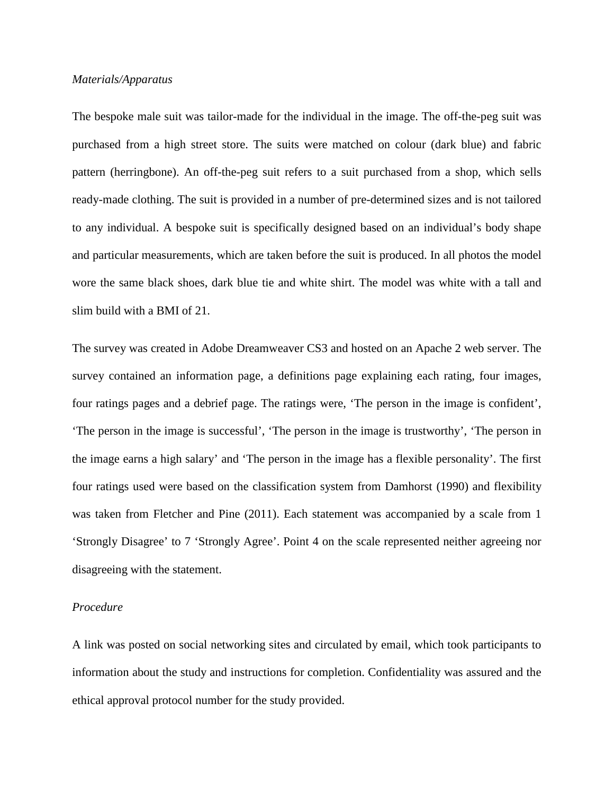### *Materials/Apparatus*

The bespoke male suit was tailor-made for the individual in the image. The off-the-peg suit was purchased from a high street store. The suits were matched on colour (dark blue) and fabric pattern (herringbone). An off-the-peg suit refers to a suit purchased from a shop, which sells ready-made clothing. The suit is provided in a number of pre-determined sizes and is not tailored to any individual. A bespoke suit is specifically designed based on an individual's body shape and particular measurements, which are taken before the suit is produced. In all photos the model wore the same black shoes, dark blue tie and white shirt. The model was white with a tall and slim build with a BMI of 21.

The survey was created in Adobe Dreamweaver CS3 and hosted on an Apache 2 web server. The survey contained an information page, a definitions page explaining each rating, four images, four ratings pages and a debrief page. The ratings were, 'The person in the image is confident', 'The person in the image is successful', 'The person in the image is trustworthy', 'The person in the image earns a high salary' and 'The person in the image has a flexible personality'. The first four ratings used were based on the classification system from Damhorst (1990) and flexibility was taken from Fletcher and Pine (2011). Each statement was accompanied by a scale from 1 'Strongly Disagree' to 7 'Strongly Agree'. Point 4 on the scale represented neither agreeing nor disagreeing with the statement.

# *Procedure*

A link was posted on social networking sites and circulated by email, which took participants to information about the study and instructions for completion. Confidentiality was assured and the ethical approval protocol number for the study provided.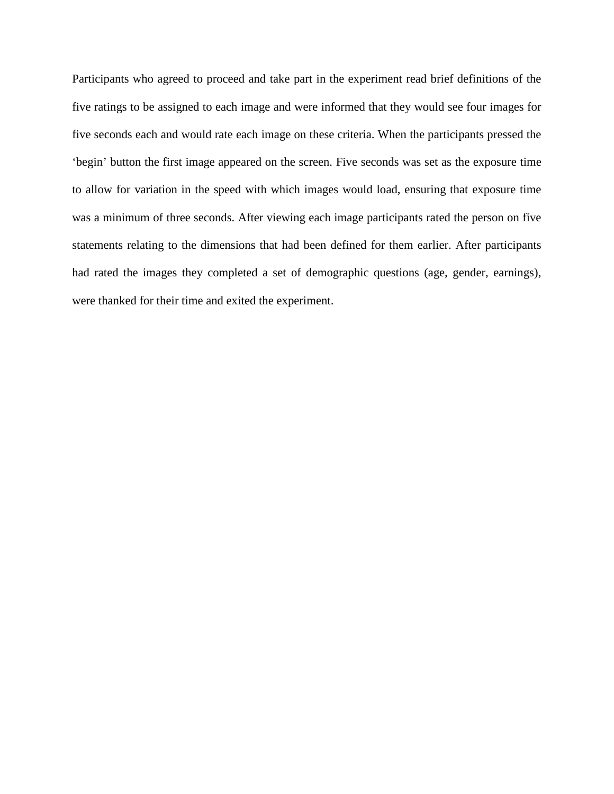Participants who agreed to proceed and take part in the experiment read brief definitions of the five ratings to be assigned to each image and were informed that they would see four images for five seconds each and would rate each image on these criteria. When the participants pressed the 'begin' button the first image appeared on the screen. Five seconds was set as the exposure time to allow for variation in the speed with which images would load, ensuring that exposure time was a minimum of three seconds. After viewing each image participants rated the person on five statements relating to the dimensions that had been defined for them earlier. After participants had rated the images they completed a set of demographic questions (age, gender, earnings), were thanked for their time and exited the experiment.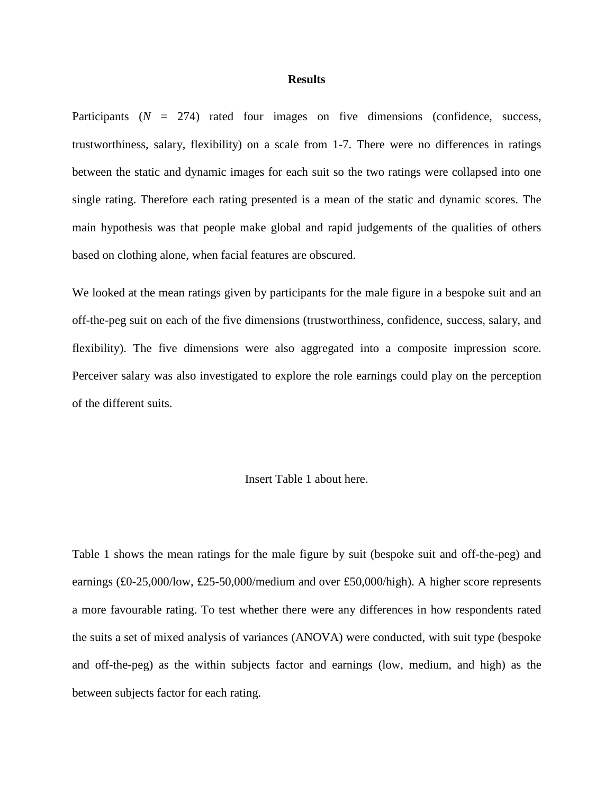#### **Results**

Participants  $(N = 274)$  rated four images on five dimensions (confidence, success, trustworthiness, salary, flexibility) on a scale from 1-7. There were no differences in ratings between the static and dynamic images for each suit so the two ratings were collapsed into one single rating. Therefore each rating presented is a mean of the static and dynamic scores. The main hypothesis was that people make global and rapid judgements of the qualities of others based on clothing alone, when facial features are obscured.

We looked at the mean ratings given by participants for the male figure in a bespoke suit and an off-the-peg suit on each of the five dimensions (trustworthiness, confidence, success, salary, and flexibility). The five dimensions were also aggregated into a composite impression score. Perceiver salary was also investigated to explore the role earnings could play on the perception of the different suits.

# Insert Table 1 about here.

Table 1 shows the mean ratings for the male figure by suit (bespoke suit and off-the-peg) and earnings (£0-25,000/low, £25-50,000/medium and over £50,000/high). A higher score represents a more favourable rating. To test whether there were any differences in how respondents rated the suits a set of mixed analysis of variances (ANOVA) were conducted, with suit type (bespoke and off-the-peg) as the within subjects factor and earnings (low, medium, and high) as the between subjects factor for each rating.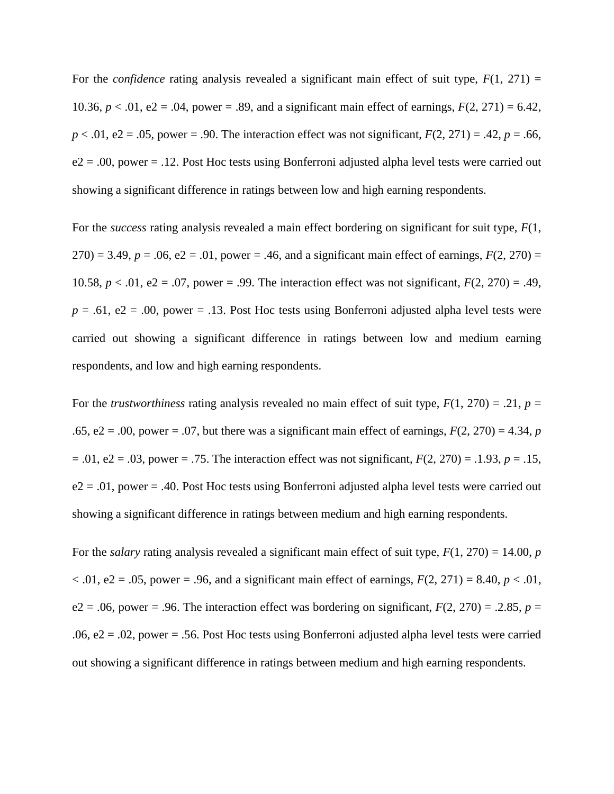For the *confidence* rating analysis revealed a significant main effect of suit type,  $F(1, 271) =$ 10.36, *p* < .01, e2 = .04, power = .89, and a significant main effect of earnings, *F*(2, 271) = 6.42,  $p < .01$ , e2 = .05, power = .90. The interaction effect was not significant,  $F(2, 271) = .42$ ,  $p = .66$ ,  $e2 = .00$ , power = .12. Post Hoc tests using Bonferroni adjusted alpha level tests were carried out showing a significant difference in ratings between low and high earning respondents.

For the *success* rating analysis revealed a main effect bordering on significant for suit type, *F*(1,  $270$ ) = 3.49,  $p = .06$ ,  $e2 = .01$ , power = .46, and a significant main effect of earnings,  $F(2, 270) =$ 10.58,  $p < .01$ , e2 = .07, power = .99. The interaction effect was not significant,  $F(2, 270) = .49$ ,  $p = .61$ , e2 = .00, power = .13. Post Hoc tests using Bonferroni adjusted alpha level tests were carried out showing a significant difference in ratings between low and medium earning respondents, and low and high earning respondents.

For the *trustworthiness* rating analysis revealed no main effect of suit type,  $F(1, 270) = .21$ ,  $p =$ .65,  $e^2 = 0.00$ , power = .07, but there was a significant main effect of earnings,  $F(2, 270) = 4.34$ , *p*  $= .01$ , e2 = .03, power = .75. The interaction effect was not significant,  $F(2, 270) = .1.93$ ,  $p = .15$ ,  $e2 = .01$ , power = .40. Post Hoc tests using Bonferroni adjusted alpha level tests were carried out showing a significant difference in ratings between medium and high earning respondents.

For the *salary* rating analysis revealed a significant main effect of suit type, *F*(1, 270) = 14.00, *p*  $\leq$  .01, e2 = .05, power = .96, and a significant main effect of earnings,  $F(2, 271) = 8.40$ ,  $p \leq .01$ ,  $e2 = .06$ , power = .96. The interaction effect was bordering on significant,  $F(2, 270) = .2.85$ ,  $p =$ .06,  $e2 = 0.02$ , power = .56. Post Hoc tests using Bonferroni adjusted alpha level tests were carried out showing a significant difference in ratings between medium and high earning respondents.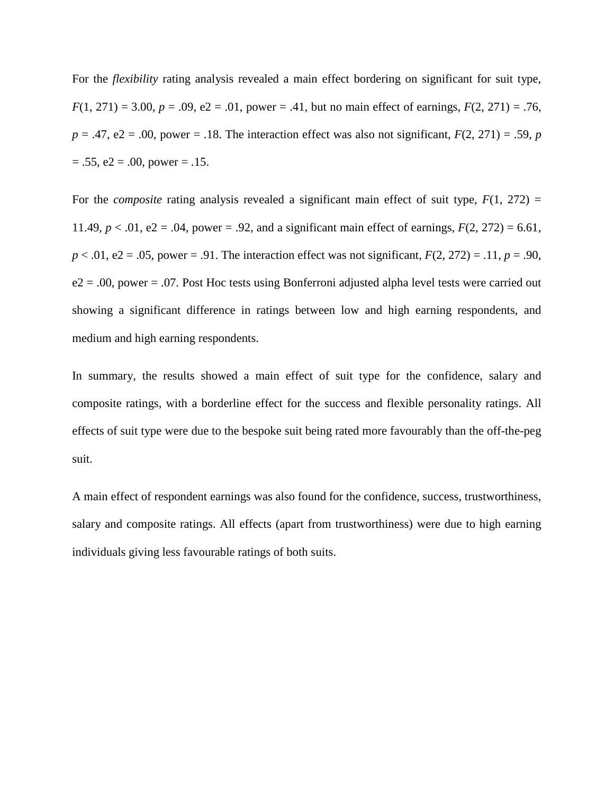For the *flexibility* rating analysis revealed a main effect bordering on significant for suit type,  $F(1, 271) = 3.00, p = .09, e2 = .01$ , power = .41, but no main effect of earnings,  $F(2, 271) = .76$ ,  $p = .47$ ,  $e^2 = .00$ , power = .18. The interaction effect was also not significant,  $F(2, 271) = .59$ , *p*  $= .55, e2 = .00, power = .15.$ 

For the *composite* rating analysis revealed a significant main effect of suit type,  $F(1, 272) =$ 11.49,  $p < .01$ ,  $e2 = .04$ , power = .92, and a significant main effect of earnings,  $F(2, 272) = 6.61$ ,  $p < .01$ , e2 = .05, power = .91. The interaction effect was not significant,  $F(2, 272) = .11$ ,  $p = .90$ ,  $e2 = .00$ , power = .07. Post Hoc tests using Bonferroni adjusted alpha level tests were carried out showing a significant difference in ratings between low and high earning respondents, and medium and high earning respondents.

In summary, the results showed a main effect of suit type for the confidence, salary and composite ratings, with a borderline effect for the success and flexible personality ratings. All effects of suit type were due to the bespoke suit being rated more favourably than the off-the-peg suit.

A main effect of respondent earnings was also found for the confidence, success, trustworthiness, salary and composite ratings. All effects (apart from trustworthiness) were due to high earning individuals giving less favourable ratings of both suits.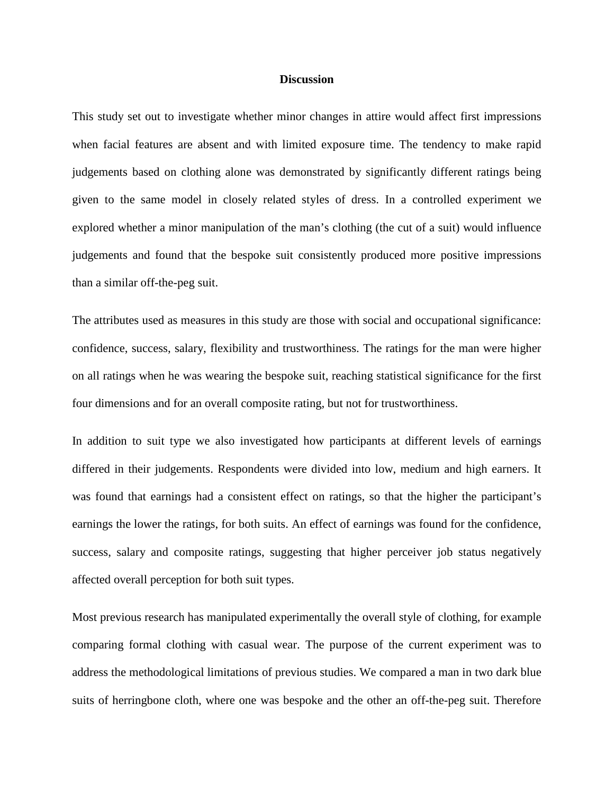### **Discussion**

This study set out to investigate whether minor changes in attire would affect first impressions when facial features are absent and with limited exposure time. The tendency to make rapid judgements based on clothing alone was demonstrated by significantly different ratings being given to the same model in closely related styles of dress. In a controlled experiment we explored whether a minor manipulation of the man's clothing (the cut of a suit) would influence judgements and found that the bespoke suit consistently produced more positive impressions than a similar off-the-peg suit.

The attributes used as measures in this study are those with social and occupational significance: confidence, success, salary, flexibility and trustworthiness. The ratings for the man were higher on all ratings when he was wearing the bespoke suit, reaching statistical significance for the first four dimensions and for an overall composite rating, but not for trustworthiness.

In addition to suit type we also investigated how participants at different levels of earnings differed in their judgements. Respondents were divided into low, medium and high earners. It was found that earnings had a consistent effect on ratings, so that the higher the participant's earnings the lower the ratings, for both suits. An effect of earnings was found for the confidence, success, salary and composite ratings, suggesting that higher perceiver job status negatively affected overall perception for both suit types.

Most previous research has manipulated experimentally the overall style of clothing, for example comparing formal clothing with casual wear. The purpose of the current experiment was to address the methodological limitations of previous studies. We compared a man in two dark blue suits of herringbone cloth, where one was bespoke and the other an off-the-peg suit. Therefore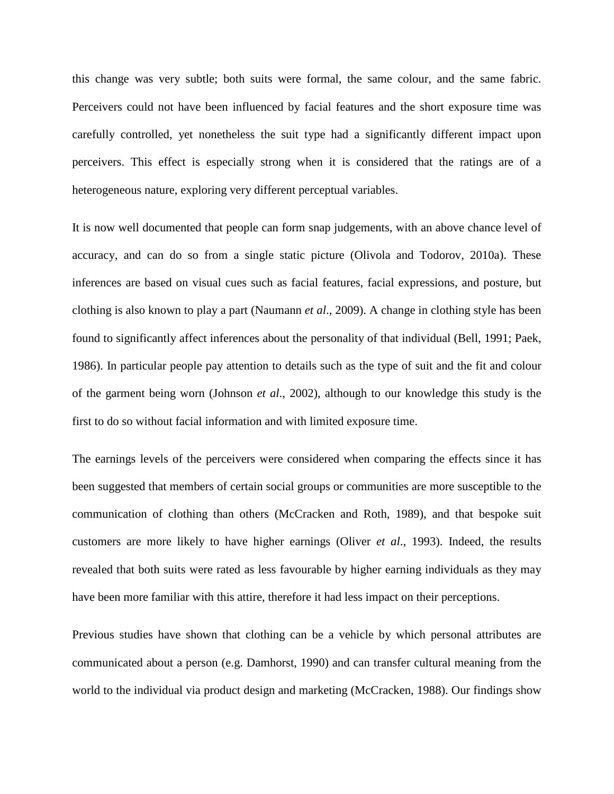this change was very subtle; both suits were formal, the same colour, and the same fabric. Perceivers could not have been influenced by facial features and the short exposure time was carefully controlled, yet nonetheless the suit type had a significantly different impact upon perceivers. This effect is especially strong when it is considered that the ratings are of a heterogeneous nature, exploring very different perceptual variables.

It is now well documented that people can form snap judgements, with an above chance level of accuracy, and can do so from a single static picture (Olivola and Todorov, 2010a). These inferences are based on visual cues such as facial features, facial expressions, and posture, but clothing is also known to play a part (Naumann *et al*., 2009). A change in clothing style has been found to significantly affect inferences about the personality of that individual (Bell, 1991; Paek, 1986). In particular people pay attention to details such as the type of suit and the fit and colour of the garment being worn (Johnson *et al*., 2002), although to our knowledge this study is the first to do so without facial information and with limited exposure time.

The earnings levels of the perceivers were considered when comparing the effects since it has been suggested that members of certain social groups or communities are more susceptible to the communication of clothing than others (McCracken and Roth, 1989), and that bespoke suit customers are more likely to have higher earnings (Oliver *et al*., 1993). Indeed, the results revealed that both suits were rated as less favourable by higher earning individuals as they may have been more familiar with this attire, therefore it had less impact on their perceptions.

Previous studies have shown that clothing can be a vehicle by which personal attributes are communicated about a person (e.g. Damhorst, 1990) and can transfer cultural meaning from the world to the individual via product design and marketing (McCracken, 1988). Our findings show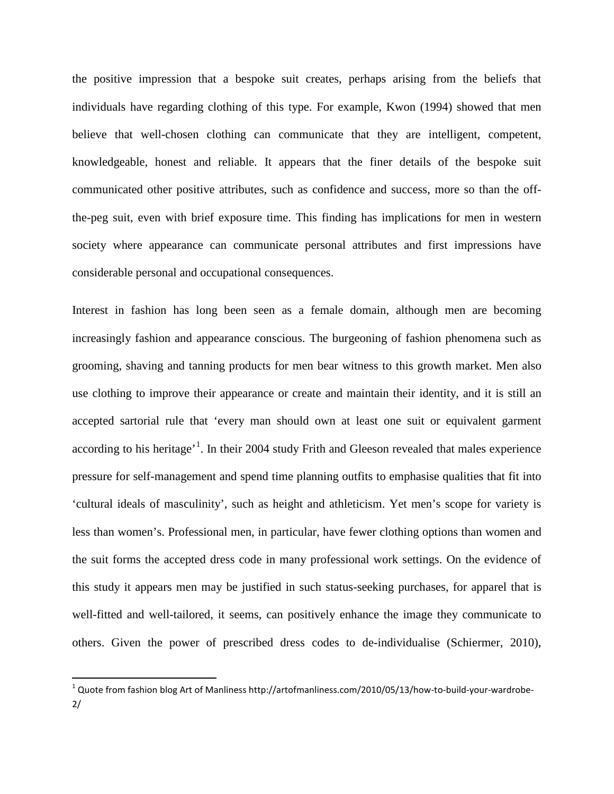the positive impression that a bespoke suit creates, perhaps arising from the beliefs that individuals have regarding clothing of this type. For example, Kwon (1994) showed that men believe that well-chosen clothing can communicate that they are intelligent, competent, knowledgeable, honest and reliable. It appears that the finer details of the bespoke suit communicated other positive attributes, such as confidence and success, more so than the offthe-peg suit, even with brief exposure time. This finding has implications for men in western society where appearance can communicate personal attributes and first impressions have considerable personal and occupational consequences.

Interest in fashion has long been seen as a female domain, although men are becoming increasingly fashion and appearance conscious. The burgeoning of fashion phenomena such as grooming, shaving and tanning products for men bear witness to this growth market. Men also use clothing to improve their appearance or create and maintain their identity, and it is still an accepted sartorial rule that 'every man should own at least one suit or equivalent garment according to his heritage<sup>, [1](#page-15-0)</sup>. In their 2004 study Frith and Gleeson revealed that males experience pressure for self-management and spend time planning outfits to emphasise qualities that fit into 'cultural ideals of masculinity', such as height and athleticism. Yet men's scope for variety is less than women's. Professional men, in particular, have fewer clothing options than women and the suit forms the accepted dress code in many professional work settings. On the evidence of this study it appears men may be justified in such status-seeking purchases, for apparel that is well-fitted and well-tailored, it seems, can positively enhance the image they communicate to others. Given the power of prescribed dress codes to de-individualise (Schiermer, 2010),

<span id="page-15-0"></span> $1$  Quote from fashion blog Art of Manliness http://artofmanliness.com/2010/05/13/how-to-build-your-wardrobe-2/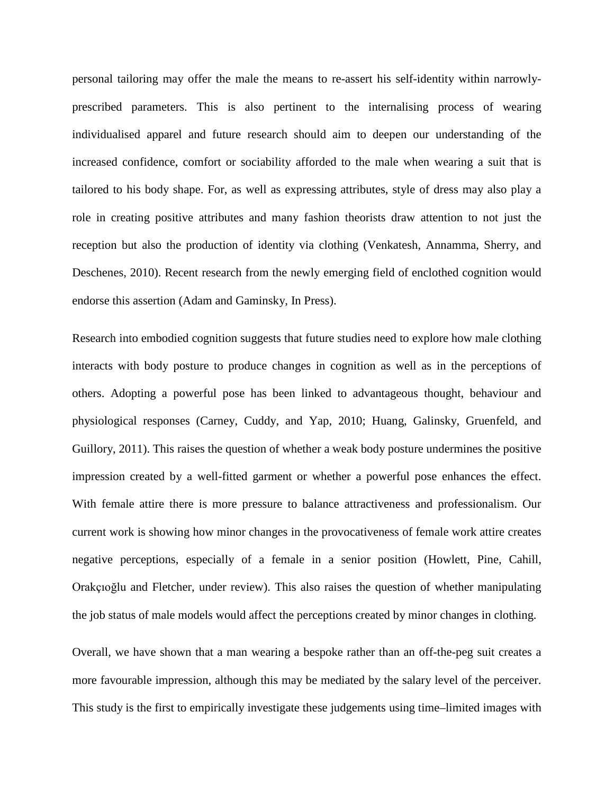personal tailoring may offer the male the means to re-assert his self-identity within narrowlyprescribed parameters. This is also pertinent to the internalising process of wearing individualised apparel and future research should aim to deepen our understanding of the increased confidence, comfort or sociability afforded to the male when wearing a suit that is tailored to his body shape. For, as well as expressing attributes, style of dress may also play a role in creating positive attributes and many fashion theorists draw attention to not just the reception but also the production of identity via clothing (Venkatesh, Annamma, Sherry, and Deschenes, 2010). Recent research from the newly emerging field of enclothed cognition would endorse this assertion (Adam and Gaminsky, In Press).

Research into embodied cognition suggests that future studies need to explore how male clothing interacts with body posture to produce changes in cognition as well as in the perceptions of others. Adopting a powerful pose has been linked to advantageous thought, behaviour and physiological responses (Carney, Cuddy, and Yap, 2010; Huang, Galinsky, Gruenfeld, and Guillory, 2011). This raises the question of whether a weak body posture undermines the positive impression created by a well-fitted garment or whether a powerful pose enhances the effect. With female attire there is more pressure to balance attractiveness and professionalism. Our current work is showing how minor changes in the provocativeness of female work attire creates negative perceptions, especially of a female in a senior position (Howlett, Pine, Cahill, Orakçıoğlu and Fletcher, under review). This also raises the question of whether manipulating the job status of male models would affect the perceptions created by minor changes in clothing.

Overall, we have shown that a man wearing a bespoke rather than an off-the-peg suit creates a more favourable impression, although this may be mediated by the salary level of the perceiver. This study is the first to empirically investigate these judgements using time–limited images with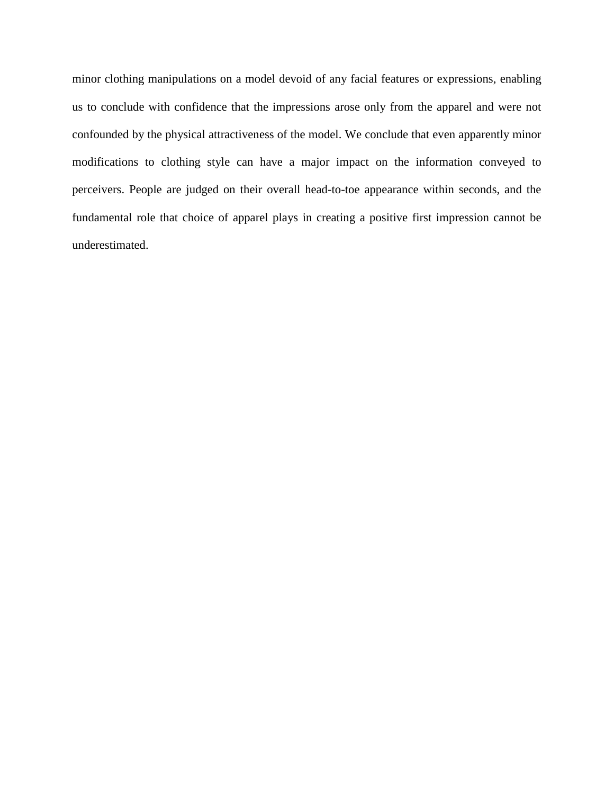minor clothing manipulations on a model devoid of any facial features or expressions, enabling us to conclude with confidence that the impressions arose only from the apparel and were not confounded by the physical attractiveness of the model. We conclude that even apparently minor modifications to clothing style can have a major impact on the information conveyed to perceivers. People are judged on their overall head-to-toe appearance within seconds, and the fundamental role that choice of apparel plays in creating a positive first impression cannot be underestimated.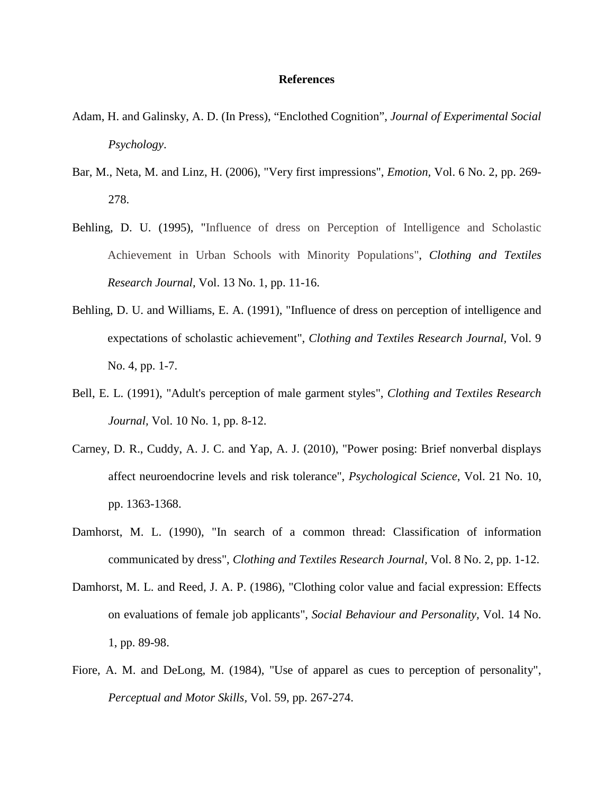# **References**

- Adam, H. and Galinsky, A. D. (In Press), "Enclothed Cognition", *Journal of Experimental Social Psychology*.
- Bar, M., Neta, M. and Linz, H. (2006), "Very first impressions", *Emotion,* Vol. 6 No. 2, pp. 269- 278.
- Behling, D. U. (1995), "Influence of dress on Perception of Intelligence and Scholastic Achievement in Urban Schools with Minority Populations", *Clothing and Textiles Research Journal,* Vol. 13 No. 1, pp. 11-16.
- Behling, D. U. and Williams, E. A. (1991), "Influence of dress on perception of intelligence and expectations of scholastic achievement", *Clothing and Textiles Research Journal,* Vol. 9 No. 4, pp. 1-7.
- Bell, E. L. (1991), "Adult's perception of male garment styles", *Clothing and Textiles Research Journal,* Vol. 10 No. 1, pp. 8-12.
- Carney, D. R., Cuddy, A. J. C. and Yap, A. J. (2010), "Power posing: Brief nonverbal displays affect neuroendocrine levels and risk tolerance", *Psychological Science*, Vol. 21 No. 10, pp. 1363-1368.
- Damhorst, M. L. (1990), "In search of a common thread: Classification of information communicated by dress", *Clothing and Textiles Research Journal,* Vol. 8 No. 2, pp. 1-12.
- Damhorst, M. L. and Reed, J. A. P. (1986), "Clothing color value and facial expression: Effects on evaluations of female job applicants", *Social Behaviour and Personality,* Vol. 14 No. 1, pp. 89-98.
- Fiore, A. M. and DeLong, M. (1984), "Use of apparel as cues to perception of personality", *Perceptual and Motor Skills,* Vol. 59, pp. 267-274.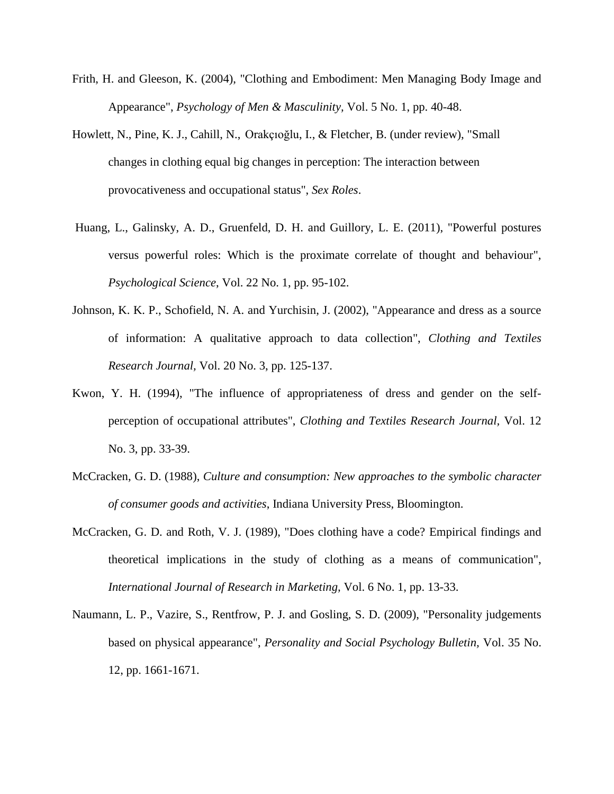- Frith, H. and Gleeson, K. (2004), "Clothing and Embodiment: Men Managing Body Image and Appearance", *Psychology of Men & Masculinity,* Vol. 5 No. 1, pp. 40-48.
- Howlett, N., Pine, K. J., Cahill, N., Orakçıoğlu, I., & Fletcher, B. (under review), "Small changes in clothing equal big changes in perception: The interaction between provocativeness and occupational status", *Sex Roles*.
- Huang, L., Galinsky, A. D., Gruenfeld, D. H. and Guillory, L. E. (2011), "Powerful postures versus powerful roles: Which is the proximate correlate of thought and behaviour", *Psychological Science*, Vol. 22 No. 1, pp. 95-102.
- Johnson, K. K. P., Schofield, N. A. and Yurchisin, J. (2002), "Appearance and dress as a source of information: A qualitative approach to data collection", *Clothing and Textiles Research Journal,* Vol. 20 No. 3, pp. 125-137.
- Kwon, Y. H. (1994), "The influence of appropriateness of dress and gender on the selfperception of occupational attributes", *Clothing and Textiles Research Journal,* Vol. 12 No. 3, pp. 33-39.
- McCracken, G. D. (1988), *Culture and consumption: New approaches to the symbolic character of consumer goods and activities*, Indiana University Press, Bloomington.
- McCracken, G. D. and Roth, V. J. (1989), "Does clothing have a code? Empirical findings and theoretical implications in the study of clothing as a means of communication", *International Journal of Research in Marketing,* Vol. 6 No. 1, pp. 13-33.
- Naumann, L. P., Vazire, S., Rentfrow, P. J. and Gosling, S. D. (2009), "Personality judgements based on physical appearance", *Personality and Social Psychology Bulletin,* Vol. 35 No. 12, pp. 1661-1671.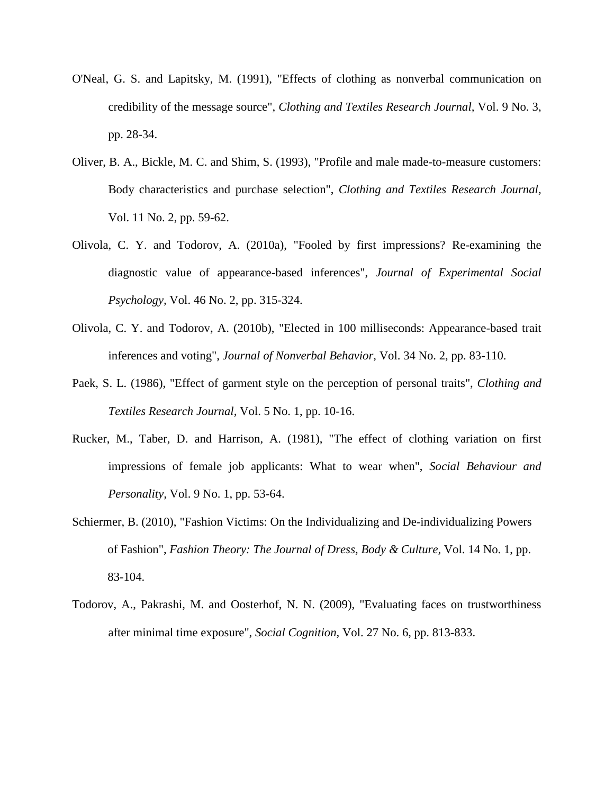- O'Neal, G. S. and Lapitsky, M. (1991), "Effects of clothing as nonverbal communication on credibility of the message source", *Clothing and Textiles Research Journal,* Vol. 9 No. 3, pp. 28-34.
- Oliver, B. A., Bickle, M. C. and Shim, S. (1993), "Profile and male made-to-measure customers: Body characteristics and purchase selection", *Clothing and Textiles Research Journal,*  Vol. 11 No. 2, pp. 59-62.
- Olivola, C. Y. and Todorov, A. (2010a), "Fooled by first impressions? Re-examining the diagnostic value of appearance-based inferences", *Journal of Experimental Social Psychology,* Vol. 46 No. 2, pp. 315-324.
- Olivola, C. Y. and Todorov, A. (2010b), "Elected in 100 milliseconds: Appearance-based trait inferences and voting", *Journal of Nonverbal Behavior,* Vol. 34 No. 2, pp. 83-110.
- Paek, S. L. (1986), "Effect of garment style on the perception of personal traits", *Clothing and Textiles Research Journal,* Vol. 5 No. 1, pp. 10-16.
- Rucker, M., Taber, D. and Harrison, A. (1981), "The effect of clothing variation on first impressions of female job applicants: What to wear when", *Social Behaviour and Personality,* Vol. 9 No. 1, pp. 53-64.
- Schiermer, B. (2010), ["Fashion Victims: On the Individualizing and De-individualizing Powers](http://www.ingentaconnect.com/content/berg/jdbc/2010/00000014/00000001/art00005)  [of Fashion"](http://www.ingentaconnect.com/content/berg/jdbc/2010/00000014/00000001/art00005), *[Fashion Theory: The Journal of Dress, Body & Culture,](http://www.ingentaconnect.com/content/berg/jdbc)* Vol. 14 No. 1, pp. 83-104.
- Todorov, A., Pakrashi, M. and Oosterhof, N. N. (2009), "Evaluating faces on trustworthiness after minimal time exposure", *Social Cognition,* Vol. 27 No. 6, pp. 813-833.